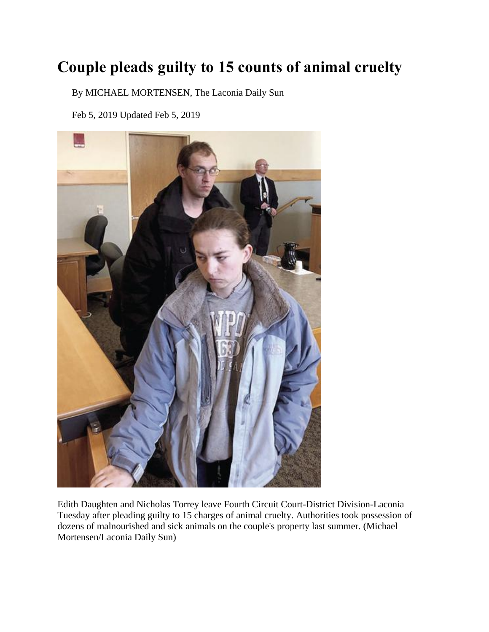## **Couple pleads guilty to 15 counts of animal cruelty**

By MICHAEL MORTENSEN, The Laconia Daily Sun

Feb 5, 2019 Updated Feb 5, 2019



Edith Daughten and Nicholas Torrey leave Fourth Circuit Court-District Division-Laconia Tuesday after pleading guilty to 15 charges of animal cruelty. Authorities took possession of dozens of malnourished and sick animals on the couple's property last summer. (Michael Mortensen/Laconia Daily Sun)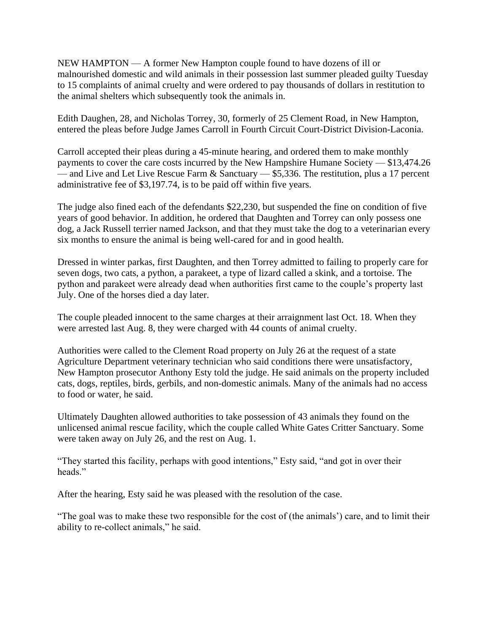NEW HAMPTON — A former New Hampton couple found to have dozens of ill or malnourished domestic and wild animals in their possession last summer pleaded guilty Tuesday to 15 complaints of animal cruelty and were ordered to pay thousands of dollars in restitution to the animal shelters which subsequently took the animals in.

Edith Daughen, 28, and Nicholas Torrey, 30, formerly of 25 Clement Road, in New Hampton, entered the pleas before Judge James Carroll in Fourth Circuit Court-District Division-Laconia.

Carroll accepted their pleas during a 45-minute hearing, and ordered them to make monthly payments to cover the care costs incurred by the New Hampshire Humane Society — \$13,474.26 — and Live and Let Live Rescue Farm  $\&$  Sanctuary — \$5,336. The restitution, plus a 17 percent administrative fee of \$3,197.74, is to be paid off within five years.

The judge also fined each of the defendants \$22,230, but suspended the fine on condition of five years of good behavior. In addition, he ordered that Daughten and Torrey can only possess one dog, a Jack Russell terrier named Jackson, and that they must take the dog to a veterinarian every six months to ensure the animal is being well-cared for and in good health.

Dressed in winter parkas, first Daughten, and then Torrey admitted to failing to properly care for seven dogs, two cats, a python, a parakeet, a type of lizard called a skink, and a tortoise. The python and parakeet were already dead when authorities first came to the couple's property last July. One of the horses died a day later.

The couple pleaded innocent to the same charges at their arraignment last Oct. 18. When they were arrested last Aug. 8, they were charged with 44 counts of animal cruelty.

Authorities were called to the Clement Road property on July 26 at the request of a state Agriculture Department veterinary technician who said conditions there were unsatisfactory, New Hampton prosecutor Anthony Esty told the judge. He said animals on the property included cats, dogs, reptiles, birds, gerbils, and non-domestic animals. Many of the animals had no access to food or water, he said.

Ultimately Daughten allowed authorities to take possession of 43 animals they found on the unlicensed animal rescue facility, which the couple called White Gates Critter Sanctuary. Some were taken away on July 26, and the rest on Aug. 1.

"They started this facility, perhaps with good intentions," Esty said, "and got in over their heads."

After the hearing, Esty said he was pleased with the resolution of the case.

"The goal was to make these two responsible for the cost of (the animals') care, and to limit their ability to re-collect animals," he said.